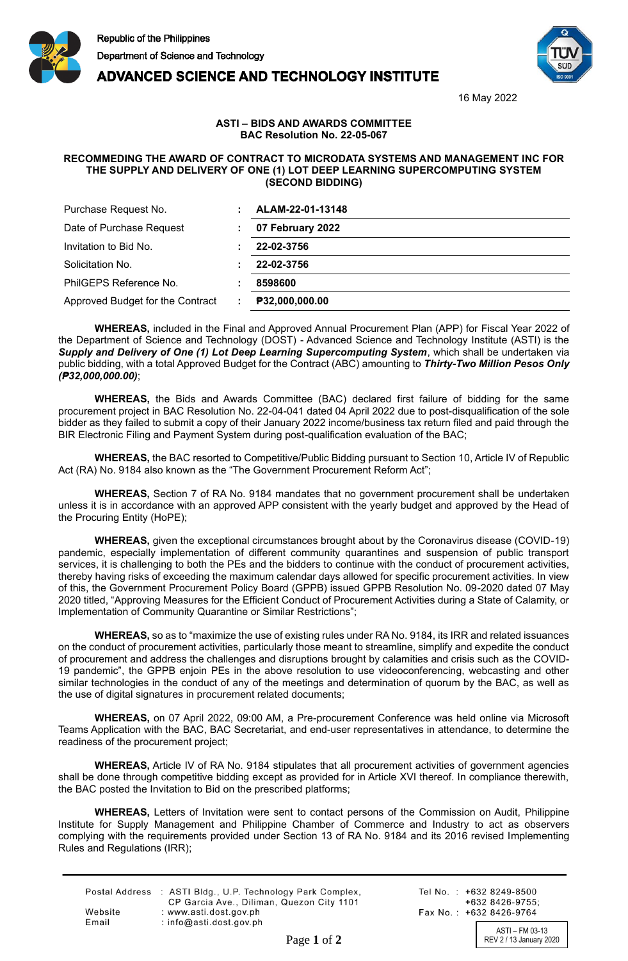





16 May 2022

## **ASTI – BIDS AND AWARDS COMMITTEE BAC Resolution No. 22-05-067**

## **RECOMMEDING THE AWARD OF CONTRACT TO MICRODATA SYSTEMS AND MANAGEMENT INC FOR THE SUPPLY AND DELIVERY OF ONE (1) LOT DEEP LEARNING SUPERCOMPUTING SYSTEM (SECOND BIDDING)**

| Purchase Request No.             | ALAM-22-01-13148 |
|----------------------------------|------------------|
| Date of Purchase Request         | 07 February 2022 |
| Invitation to Bid No.            | 22-02-3756       |
| Solicitation No.                 | 22-02-3756       |
| PhilGEPS Reference No.           | 8598600          |
| Approved Budget for the Contract | P32,000,000.00   |

**WHEREAS,** included in the Final and Approved Annual Procurement Plan (APP) for Fiscal Year 2022 of the Department of Science and Technology (DOST) - Advanced Science and Technology Institute (ASTI) is the *Supply and Delivery of One (1) Lot Deep Learning Supercomputing System*, which shall be undertaken via public bidding, with a total Approved Budget for the Contract (ABC) amounting to *Thirty-Two Million Pesos Only (₱32,000,000.00)*;

**WHEREAS,** the Bids and Awards Committee (BAC) declared first failure of bidding for the same procurement project in BAC Resolution No. 22-04-041 dated 04 April 2022 due to post-disqualification of the sole bidder as they failed to submit a copy of their January 2022 income/business tax return filed and paid through the BIR Electronic Filing and Payment System during post-qualification evaluation of the BAC;

**WHEREAS,** the BAC resorted to Competitive/Public Bidding pursuant to Section 10, Article IV of Republic Act (RA) No. 9184 also known as the "The Government Procurement Reform Act";

**WHEREAS,** Section 7 of RA No. 9184 mandates that no government procurement shall be undertaken unless it is in accordance with an approved APP consistent with the yearly budget and approved by the Head of the Procuring Entity (HoPE);

**WHEREAS,** given the exceptional circumstances brought about by the Coronavirus disease (COVID-19) pandemic, especially implementation of different community quarantines and suspension of public transport services, it is challenging to both the PEs and the bidders to continue with the conduct of procurement activities, thereby having risks of exceeding the maximum calendar days allowed for specific procurement activities. In view of this, the Government Procurement Policy Board (GPPB) issued GPPB Resolution No. 09-2020 dated 07 May 2020 titled, "Approving Measures for the Efficient Conduct of Procurement Activities during a State of Calamity, or Implementation of Community Quarantine or Similar Restrictions";

**WHEREAS,** so as to "maximize the use of existing rules under RA No. 9184, its IRR and related issuances on the conduct of procurement activities, particularly those meant to streamline, simplify and expedite the conduct of procurement and address the challenges and disruptions brought by calamities and crisis such as the COVID-19 pandemic", the GPPB enjoin PEs in the above resolution to use videoconferencing, webcasting and other similar technologies in the conduct of any of the meetings and determination of quorum by the BAC, as well as the use of digital signatures in procurement related documents;

**WHEREAS,** on 07 April 2022, 09:00 AM, a Pre-procurement Conference was held online via Microsoft Teams Application with the BAC, BAC Secretariat, and end-user representatives in attendance, to determine the readiness of the procurement project;

**WHEREAS,** Article IV of RA No. 9184 stipulates that all procurement activities of government agencies shall be done through competitive bidding except as provided for in Article XVI thereof. In compliance therewith, the BAC posted the Invitation to Bid on the prescribed platforms;

**WHEREAS,** Letters of Invitation were sent to contact persons of the Commission on Audit, Philippine Institute for Supply Management and Philippine Chamber of Commerce and Industry to act as observers complying with the requirements provided under Section 13 of RA No. 9184 and its 2016 revised Implementing Rules and Regulations (IRR);

|         | Postal Address : ASTI Bldg., U.P. Technology Park Complex, |
|---------|------------------------------------------------------------|
|         | CP Garcia Ave., Diliman, Quezon City 1101                  |
| Website | : www.asti.dost.gov.ph                                     |
| Email   | $:$ info@asti.dost.gov.ph                                  |

Tel No.: +632 8249-8500 +632 8426-9755: Fax No.: +632 8426-9764

ASTI – FM 03-13 Page 1 of 2 REV 2 / 13 January 2020